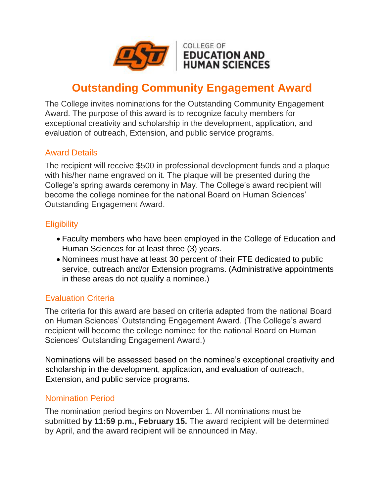

# **Outstanding Community Engagement Award**

The College invites nominations for the Outstanding Community Engagement Award. The purpose of this award is to recognize faculty members for exceptional creativity and scholarship in the development, application, and evaluation of outreach, Extension, and public service programs.

## Award Details

The recipient will receive \$500 in professional development funds and a plaque with his/her name engraved on it. The plaque will be presented during the College's spring awards ceremony in May. The College's award recipient will become the college nominee for the national Board on Human Sciences' Outstanding Engagement Award.

#### **Eligibility**

- Faculty members who have been employed in the College of Education and Human Sciences for at least three (3) years.
- Nominees must have at least 30 percent of their FTE dedicated to public service, outreach and/or Extension programs. (Administrative appointments in these areas do not qualify a nominee.)

## Evaluation Criteria

The criteria for this award are based on criteria adapted from the national Board on Human Sciences' Outstanding Engagement Award. (The College's award recipient will become the college nominee for the national Board on Human Sciences' Outstanding Engagement Award.)

Nominations will be assessed based on the nominee's exceptional creativity and scholarship in the development, application, and evaluation of outreach, Extension, and public service programs.

#### Nomination Period

The nomination period begins on November 1. All nominations must be submitted **by 11:59 p.m., February 15.** The award recipient will be determined by April, and the award recipient will be announced in May.